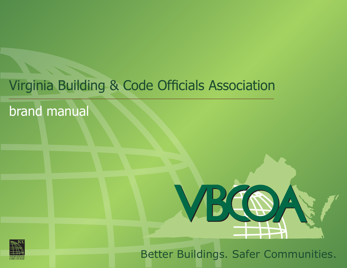# Virginia Building & Code Officials Association

brand manual





Better Buildings. Safer Communities.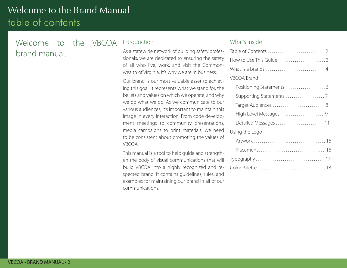# Welcome to the Brand Manual table of contents

## Welcome to the VBCOA brand manual.

#### Introduction

As a statewide network of building safety professionals, we are dedicated to ensuring the safety of all who live, work, and visit the Commonwealth of Virginia. It's why we are in business.

Our brand is our most valuable asset to achieving this goal. It represents what we stand for, the beliefs and values on which we operate, and why we do what we do. As we communicate to our various audiences, it's important to maintain this image in every interaction. From code development meetings to community presentations, media campaigns to print materials, we need to be consistent about promoting the values of VBCOA.

This manual is a tool to help guide and strengthen the body of visual communications that will build VBCOA into a highly recognized and respected brand. It contains guidelines, rules, and examples for maintaining our brand in all of our communications.

#### What's inside

| What is a brand?4   |
|---------------------|
| <b>VBCOA Brand</b>  |
|                     |
|                     |
| Target Audiences  8 |
|                     |
|                     |
| Using the Logo      |
|                     |
|                     |
|                     |
|                     |
|                     |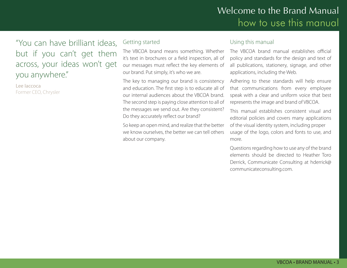## Welcome to the Brand Manual how to use this manual

## "You can have brilliant ideas, but if you can't get them across, your ideas won't get you anywhere."

Lee Iaccoca Former CEO, Chrysler

#### Getting started

The VBCOA brand means something. Whether it's text in brochures or a field inspection, all of our messages must reflect the key elements of our brand. Put simply, it's who we are.

The key to managing our brand is consistency and education. The first step is to educate all of our internal audiences about the VBCOA brand. The second step is paying close attention to all of the messages we send out. Are they consistent? Do they accurately reflect our brand?

So keep an open mind, and realize that the better we know ourselves, the better we can tell others about our company.

#### Using this manual

The VBCOA brand manual establishes official policy and standards for the design and text of all publications, stationery, signage, and other applications, including the Web.

Adhering to these standards will help ensure that communications from every employee speak with a clear and uniform voice that best represents the image and brand of VBCOA.

This manual establishes consistent visual and editorial policies and covers many applications of the visual identity system, including proper usage of the logo, colors and fonts to use, and more.

Questions regarding how to use any of the brand elements should be directed to Heather Toro Derrick, Communicate Consulting at hderrick@ communicateconsulting.com.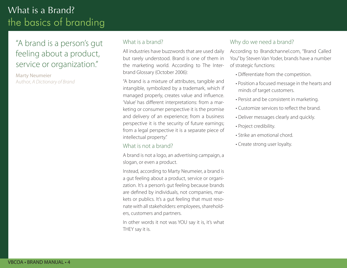# What is a Brand? the basics of branding

## "A brand is a person's gut feeling about a product, service or organization."

Marty Neumeier Author, *A Dictionary of Brand*

#### What is a brand?

All industries have buzzwords that are used daily but rarely understood. Brand is one of them in the marketing world. According to The Interbrand Glossary (October 2006):

"A brand is a mixture of attributes, tangible and intangible, symbolized by a trademark, which if managed properly, creates value and influence. 'Value' has different interpretations: from a marketing or consumer perspective it is the promise and delivery of an experience; from a business perspective it is the security of future earnings; from a legal perspective it is a separate piece of intellectual property."

#### What is not a brand?

A brand is not a logo, an advertising campaign, a slogan, or even a product.

Instead, according to Marty Neumeier, a brand is a gut feeling about a product, service or organization. It's a person's gut feeling because brands are defined by individuals, not companies, markets or publics. It's a gut feeling that must resonate with all stakeholders: employees, shareholders, customers and partners.

In other words it not was YOU say it is, it's what THEY say it is.

#### Why do we need a brand?

According to Brandchannel.com, "Brand Called You" by Steven Van Yoder, brands have a number of strategic functions:

- Differentiate from the competition.
- Position a focused message in the hearts and minds of target customers.
- Persist and be consistent in marketing.
- Customize services to reflect the brand.
- Deliver messages clearly and quickly.
- Project credibility.
- Strike an emotional chord.
- Create strong user loyalty.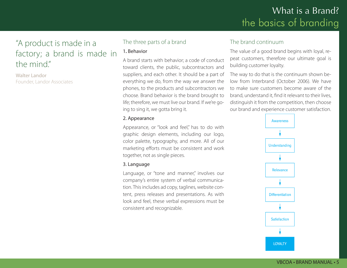# What is a Brand? the basics of branding

## "A product is made in a factory; a brand is made in the mind"

Walter Landor Founder, Landor Associates

#### The three parts of a brand

#### 1**.** Behavior

A brand starts with behavior; a code of conduct toward clients, the public, subcontractors and suppliers, and each other. It should be a part of everything we do, from the way we answer the phones, to the products and subcontractors we choose. Brand behavior is the brand brought to life; therefore, we must live our brand. If we're going to sing it, we gotta bring it.

#### 2. Appearance

Appearance, or "look and feel," has to do with graphic design elements, including our logo, color palette, typography, and more. All of our marketing efforts must be consistent and work together, not as single pieces.

#### 3. Language

Language, or "tone and manner," involves our company's entire system of verbal communication. This includes ad copy, taglines, website content, press releases and presentations. As with look and feel, these verbal expressions must be consistent and recognizable.

#### The brand continuum

The value of a good brand begins with loyal, repeat customers, therefore our ultimate goal is building customer loyalty.

The way to do that is the continuum shown below from Interbrand (October 2006). We have to make sure customers become aware of the brand, understand it, find it relevant to their lives, distinguish it from the competition, then choose our brand and experience customer satisfaction.



#### VBCOA • BRAND MANUAL • 5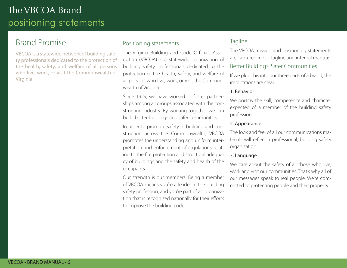# The VBCOA Brand positioning statements

### Brand Promise

VBCOA is a statewide network of building safety professionals dedicated to the protection of the health, safety, and welfare of all persons who live, work, or visit the Commonwealth of Virginia.

#### Positioning statements

The Virginia Building and Code Officials Association (VBCOA) is a statewide organization of building safety professionals dedicated to the protection of the health, safety, and welfare of all persons who live, work, or visit the Commonwealth of Virginia.

Since 1929, we have worked to foster partnerships among all groups associated with the construction industry. By working together we can build better buildings and safer communities.

In order to promote safety in building and construction across the Commonwealth, VBCOA promotes the understanding and uniform interpretation and enforcement of regulations relating to the fire protection and structural adequacy of buildings and the safety and health of the occupants.

Our strength is our members. Being a member of VBCOA means you're a leader in the building safety profession, and you're part of an organization that is recognized nationally for their efforts to improve the building code.

#### Tagline

The VBCOA mission and positioning statements are captured in our tagline and internal mantra:

#### Better Buildings. Safer Communities.

If we plug this into our three parts of a brand, the implications are clear:

#### 1. Behavior

We portray the skill, competence and character expected of a member of the building safety profession.

#### 2. Appearance

The look and feel of all our communications materials will reflect a professional, building safety organization.

#### 3. Language

We care about the safety of all those who live, work and visit our communities. That's why all of our messages speak to real people. We're committed to protecting people and their property.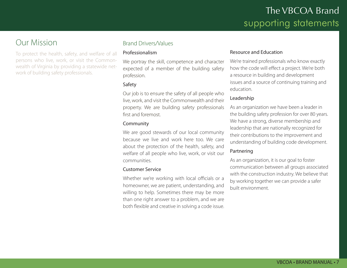## Our Mission

To protect the health, safety, and welfare of all persons who live, work, or visit the Commonwealth of Virginia by providing a statewide network of building safety professionals.

#### Brand Drivers/Values

#### Professionalism

We portray the skill, competence and character expected of a member of the building safety profession.

#### Safety

Our job is to ensure the safety of all people who live, work, and visit the Commonwealth and their property. We are building safety professionals first and foremost.

#### Community

We are good stewards of our local community because we live and work here too. We care about the protection of the health, safety, and welfare of all people who live, work, or visit our communities.

#### Customer Service

Whether we're working with local officials or a homeowner, we are patient, understanding, and willing to help. Sometimes there may be more than one right answer to a problem, and we are both flexible and creative in solving a code issue.

#### Resource and Education

We're trained professionals who know exactly how the code will effect a project. We're both a resource in building and development issues and a source of continuing training and education.

#### Leadership

As an organization we have been a leader in the building safety profession for over 80 years. We have a strong, diverse membership and leadership that are nationally recognized for their contributions to the improvement and understanding of building code development.

#### Partnering

As an organization, it is our goal to foster communication between all groups associated with the construction industry. We believe that by working together we can provide a safer built environment.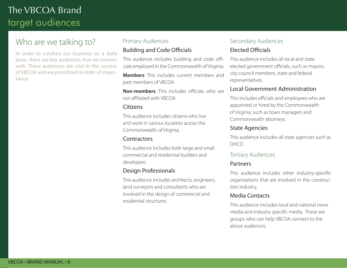## Who are we talking to?

In order to conduct our business on a daily basis, there are key audiences that we interact with. These audiences are vital to the success of VBCOA and are prioritized in order of importance.

#### Primary Audiences Building and Code Officials

This audience includes building and code officials employed in the Commonwealth of Virginia.

**Members**: This includes current members and past members of VBCOA

**Non-members**: This includes officials who are not affiliated with VBCOA

#### **Citizens**

This audience includes citizens who live and work in various localities across the Commonwealth of Virginia.

#### **Contractors**

This audience includes both large and small commercial and residential builders and developers

#### Design Professionals

This audience includes architects, engineers, land surveyors and consultants who are involved in the design of commercial and residential structures.

#### Secondary Audiences Elected Officials

This audience includes all local and state elected government officials, such as mayors, city council members, state and federal representatives.

#### Local Government Administration

This includes officials and employees who are appointed or hired by the Commonwealth of Virginia, such as town managers and Commonwealth attorneys.

#### State Agencies

This audience includes all state agencies such as DHCD.

#### Tertiary Audiences

#### Partners

This audience includes other industry-specific organizations that are involved in the construction industry.

#### Media Contacts

This audience includes local and national news media and industry specific media. These are groups who can help VBCOA connect to the above audiences.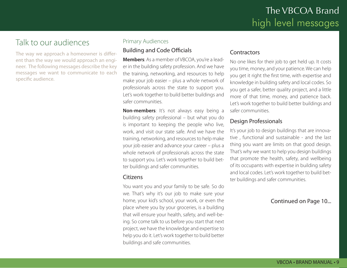## Talk to our audiences

The way we approach a homeowner is different than the way we would approach an engineer. The following messages describe the key messages we want to communicate to each specific audience.

#### Primary Audiences

#### Building and Code Officials

**Members**: As a member of VBCOA, you're a leader in the building safety profession. And we have the training, networking, and resources to help make your job easier – plus a whole network of professionals across the state to support you. Let's work together to build better buildings and safer communities.

**Non-members:** It's not always easy being a building safety professional – but what you do is important to keeping the people who live, work, and visit our state safe. And we have the training, networking, and resources to help make your job easier and advance your career – plus a whole network of professionals across the state to support you. Let's work together to build better buildings and safer communities.

#### **Citizens**

You want you and your family to be safe. So do we. That's why it's our job to make sure your home, your kid's school, your work, or even the place where you by your groceries, is a building that will ensure your health, safety, and well-being. So come talk to us before you start that next project, we have the knowledge and expertise to help you do it. Let's work together to build better buildings and safe communities.

#### **Contractors**

No one likes for their job to get held up. It costs you time, money, and your patience. We can help you get it right the first time, with expertise and knowledge in building safety and local codes. So you get a safer, better quality project, and a little more of that time, money, and patience back. Let's work together to build better buildings and safer communities.

#### Design Professionals

It's your job to design buildings that are innovative , functional and sustainable - and the last thing you want are limits on that good design. That's why we want to help you design buildings that promote the health, safety, and wellbeing of its occupants with expertise in building safety and local codes. Let's work together to build better buildings and safer communities.

#### Continued on Page 10...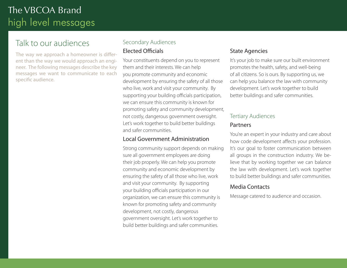## Talk to our audiences

The way we approach a homeowner is different than the way we would approach an engineer. The following messages describe the key messages we want to communicate to each specific audience.

# Secondary Audiences

#### Elected Officials

Your constituents depend on you to represent them and their interests. We can help you promote community and economic development by ensuring the safety of all those who live, work and visit your community. By supporting your building officials participation, we can ensure this community is known for promoting safety and community development, not costly, dangerous government oversight. Let's work together to build better buildings and safer communities.

#### Local Government Administration

Strong community support depends on making sure all government employees are doing their job properly. We can help you promote community and economic development by ensuring the safety of all those who live, work and visit your community. By supporting your building officials participation in our organization, we can ensure this community is known for promoting safety and community development, not costly, dangerous government oversight. Let's work together to build better buildings and safer communities.

#### State Agencies

It's your job to make sure our built environment promotes the health, safety, and well-being of all citizens. So is ours. By supporting us, we can help you balance the law with community development. Let's work together to build better buildings and safer communities.

#### Tertiary Audiences

#### Partners

You're an expert in your industry and care about how code development affects your profession. It's our goal to foster communication between all groups in the construction industry. We believe that by working together we can balance the law with development. Let's work together to build better buildings and safer communities.

#### Media Contacts

Message catered to audience and occasion.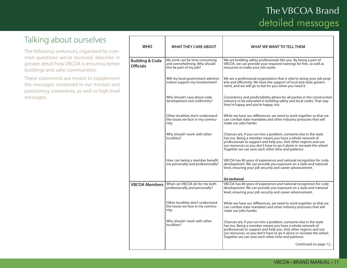## Talking about ourselves

The following sentences, organized by common questions we've received, describe in greater detail how VBCOA is ensuring better buildings and safer communities.

| <b>WHO</b>                                     | <b>WHAT THEY CARE ABOUT</b>                                                              | WHAT WE WANT TO TELL THEM                                                                                                                                                                                                                                                                                                            |
|------------------------------------------------|------------------------------------------------------------------------------------------|--------------------------------------------------------------------------------------------------------------------------------------------------------------------------------------------------------------------------------------------------------------------------------------------------------------------------------------|
| <b>Building &amp; Code</b><br><b>Officials</b> | My work can be time consuming<br>and overwhelming. Why should<br>this be part of my job? | We are building safety professionals like you. By being a part of<br>VBCOA, we can provide your required trainings for free, as well as<br>resources to make your job easier.                                                                                                                                                        |
|                                                | Will my local government adminis-<br>tration support my involvement?                     | We are a professional organization that is vital to doing your job prop-<br>erly and efficiently. We have the support of local and state govern-<br>ment, and we will go to bat for you when you need it.                                                                                                                            |
|                                                | Why should I care about code<br>development and uniformity?                              | Consistency and predictability allows for all parties in the construction<br>industry to be educated in building safety and local codes. That way<br>they're happy and you're happy, too.                                                                                                                                            |
|                                                | Other localities don't understand<br>the issues we face in my commu-<br>nity.            | While we have our differences, we need to work together so that we<br>can combat state mandates and other industry pressures that will<br>make our jobs harder.                                                                                                                                                                      |
|                                                | Why should I work with other<br>localities?                                              | Chances are, if you run into a problem, someone else in the state<br>has too. Being a member means you have a whole network of<br>professionals to support and help you. Visit other regions and use<br>our resources so you don't have to go it alone or recreate the wheel.<br>Together we can save each other time and patience.  |
|                                                | How can being a member benefit<br>me personally and professionally?                      | VBCOA has 80 years of experience and national recognition for code<br>development. We can provide you exposure on a state and national<br>level, ensuring your job security and career advancement.                                                                                                                                  |
|                                                |                                                                                          | Go technical.                                                                                                                                                                                                                                                                                                                        |
| <b>VBCOA Members</b>                           | What can VBCOA do for me both<br>professionally and personally?                          | VBCOA has 80 years of experience and national recognition for code<br>development. We can provide you exposure on a state and national<br>level, ensuring your job security and career advancement.                                                                                                                                  |
|                                                | Other localities don't understand<br>the issues we face in my commu-<br>nity.            | While we have our differences, we need to work together so that we<br>can combat state mandates and other industry pressures that will<br>make our jobs harder.                                                                                                                                                                      |
|                                                | Why should I work with other<br>localities?                                              | Chances are, if you run into a problem, someone else in the state<br>has too. Being a member means you have a whole network of<br>professionals to support and help you. Visit other regions and use<br>our resources, so you don't have to go it alone or recreate the wheel.<br>Together we can save each other time and patience. |
|                                                |                                                                                          | Continued on page 12                                                                                                                                                                                                                                                                                                                 |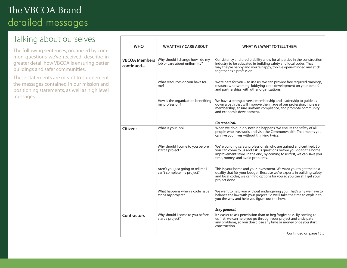## Talking about ourselves

The following sentences, organized by common questions we've received, describe in greater detail how VBCOA is ensuring better buildings and safer communities.

| <b>WHO</b>                        | <b>WHAT THEY CARE ABOUT</b>                                      | WHAT WE WANT TO TELL THEM                                                                                                                                                                                                                               |
|-----------------------------------|------------------------------------------------------------------|---------------------------------------------------------------------------------------------------------------------------------------------------------------------------------------------------------------------------------------------------------|
| <b>VBCOA Members</b><br>continued | Why should I change how I do my<br>job or care about uniformity? | Consistency and predictability allow for all parties in the construction<br>industry to be educated in building safety and local codes. That<br>way they're happy and you're happy, too. Be open-minded and stick<br>together as a profession.          |
|                                   | What resources do you have for<br>me?                            | We're here for you – so use us! We can provide free required trainings,<br>resources, networking, lobbying code development on your behalf,<br>and partnerships with other organizations.                                                               |
|                                   | How is the organization benefiting<br>my profession?             | We have a strong, diverse membership and leadership to quide us<br>down a path that will improve the image of our profession, increase<br>membership, ensure uniform compliance, and promote community<br>and economic development.                     |
|                                   |                                                                  | Go technical.                                                                                                                                                                                                                                           |
| <b>Citizens</b>                   | What is your job?                                                | When we do our job, nothing happens. We ensure the safety of all<br>people who live, work, and visit the Commonwealth. That means you<br>can live your lives without thinking twice.                                                                    |
|                                   | Why should I come to you before I<br>start a project?            | We're building safety professionals who are trained and certified. So<br>you can come to us and ask us questions before you go to the home<br>improvement store. In the end, by coming to us first, we can save you<br>time, money, and avoid problems. |
|                                   | Aren't you just going to tell me I<br>can't complete my project? | This is your home and your investment. We want you to get the best<br>quality that fits your budget. Because we're experts in building safety<br>and local codes, we can find options for you so you can still get your<br>project done.                |
|                                   | What happens when a code issue<br>stops my project?              | We want to help you without endangering you. That's why we have to<br>balance the law with your project. So we'll take the time to explain to<br>you the why and help you figure out the how.                                                           |
|                                   |                                                                  | Stay general.                                                                                                                                                                                                                                           |
| <b>Contractors</b>                | Why should I come to you before I<br>start a project?            | It's easier to ask permission than to beg forgiveness. By coming to<br>us first, we can help you go through your project and anticipate<br>any problems, so you don't lose any time or money once you start<br>construction.                            |
|                                   |                                                                  | Continued on page 13                                                                                                                                                                                                                                    |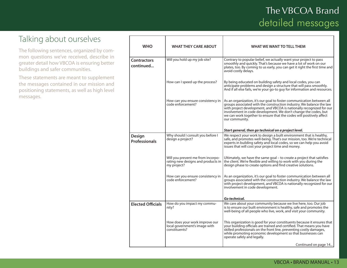## Talking about ourselves

The following sentences, organized by common questions we've received, describe in greater detail how VBCOA is ensuring better buildings and safer communities.

| <b>WHO</b>                      | <b>WHAT THEY CARE ABOUT</b>                                                            | WHAT WE WANT TO TELL THEM                                                                                                                                                                                                                                                                                                                                                          |
|---------------------------------|----------------------------------------------------------------------------------------|------------------------------------------------------------------------------------------------------------------------------------------------------------------------------------------------------------------------------------------------------------------------------------------------------------------------------------------------------------------------------------|
| <b>Contractors</b><br>continued | Will you hold up my job site?                                                          | Contrary to popular belief, we actually want your project to pass<br>smoothly and quickly. That's because we have a lot of work on our<br>plates, too. By coming to us early, you can get it right the first time and<br>avoid costly delays.                                                                                                                                      |
|                                 | How can I speed up the process?                                                        | By being educated on building safety and local codes, you can<br>anticipate problems and design a structure that will pass smoothly.<br>And if all else fails, we're your go-to guy for information and resources.                                                                                                                                                                 |
|                                 | How can you ensure consistency in<br>code enforcement?                                 | As an organization, it's our goal to foster communication between all<br>groups associated with the construction industry. We balance the law<br>with project development, and VBCOA is nationally recognized for our<br>involvement in code development. We don't change the codes, but<br>we can work together to ensure that the codes will positively affect<br>our community. |
|                                 |                                                                                        | Start general, then go technical on a project level.                                                                                                                                                                                                                                                                                                                               |
| Design<br><b>Professionals</b>  | Why should I consult you before I<br>design a project?                                 | We respect your work to design a built environment that is healthy,<br>safe, and promotes well-being. That's our mission, too. We're technical<br>experts in building safety and local codes, so we can help you avoid<br>issues that will cost your project time and money.                                                                                                       |
|                                 | Will you prevent me from incorpo-<br>rating new designs and products in<br>my project? | Ultimately, we have the same goal – to create a project that satisfies<br>the client. We're flexible and willing to work with you during the<br>design phase to create options and find creative solutions.                                                                                                                                                                        |
|                                 | How can you ensure consistency in<br>code enforcement?                                 | As an organization, it's our goal to foster communication between all<br>groups associated with the construction industry. We balance the law<br>with project development, and VBCOA is nationally recognized for our<br>involvement in code development.                                                                                                                          |
|                                 |                                                                                        | Go technical.                                                                                                                                                                                                                                                                                                                                                                      |
| <b>Elected Officials</b>        | How do you impact my commu-<br>nity?                                                   | We care about your community because we live here, too. Our job<br>is to ensure our built environment is healthy, safe and promotes the<br>well-being of all people who live, work, and visit your community.                                                                                                                                                                      |
|                                 | How does your work improve our<br>local government's image with<br>constituents?       | This organization is good for your constituents because it ensures that<br>your building officials are trained and certified. That means you have<br>skilled professionals on the front line, preventing costly damages,<br>while promoting economic development so that businesses can<br>operate safely and legally.                                                             |
|                                 |                                                                                        | Continued on page 14                                                                                                                                                                                                                                                                                                                                                               |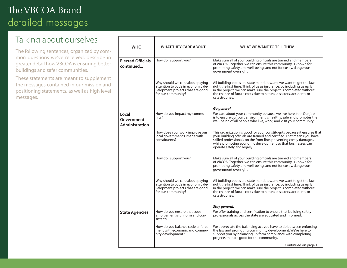## Talking about ourselves

The following sentences, organized by common questions we've received, describe in greater detail how VBCOA is ensuring better buildings and safer communities.

| <b>WHO</b>                            | <b>WHAT THEY CARE ABOUT</b>                                                                                                    | WHAT WE WANT TO TELL THEM                                                                                                                                                                                                                                                                                              |
|---------------------------------------|--------------------------------------------------------------------------------------------------------------------------------|------------------------------------------------------------------------------------------------------------------------------------------------------------------------------------------------------------------------------------------------------------------------------------------------------------------------|
| <b>Elected Officials</b><br>continued | How do I support you?                                                                                                          | Make sure all of your building officials are trained and members<br>of VBCOA. Together, we can ensure this community is known for<br>promoting safety and well-being, and not for costly, dangerous<br>government oversight.                                                                                           |
|                                       | Why should we care about paying<br>attention to code in economic de-<br>velopment projects that are good<br>for our community? | All building codes are state mandates, and we want to get the law<br>right the first time. Think of us as insurance, by including us early<br>in the project, we can make sure the project is completed without<br>the chance of future costs due to natural disasters, accidents or<br>catastrophes.                  |
|                                       |                                                                                                                                | Go general.                                                                                                                                                                                                                                                                                                            |
| Local<br>Government<br>Administration | How do you impact my commu-<br>nity?                                                                                           | We care about your community because we live here, too. Our job<br>is to ensure our built environment is healthy, safe and promotes the<br>well-being of all people who live, work, and visit your community.                                                                                                          |
|                                       | How does your work improve our<br>local government's image with<br>constituents?                                               | This organization is good for your constituents because it ensures that<br>your building officials are trained and certified. That means you have<br>skilled professionals on the front line, preventing costly damages,<br>while promoting economic development so that businesses can<br>operate safely and legally. |
|                                       | How do I support you?                                                                                                          | Make sure all of your building officials are trained and members<br>of VBCOA. Together, we can ensure this community is known for<br>promoting safety and well-being, and not for costly, dangerous<br>government oversight.                                                                                           |
|                                       | Why should we care about paying<br>attention to code in economic de-<br>velopment projects that are good<br>for our community? | All building codes are state mandates, and we want to get the law<br>right the first time. Think of us as insurance, by including us early<br>in the project, we can make sure the project is completed without<br>the chance of future costs due to natural disasters, accidents or<br>catastrophes.                  |
|                                       |                                                                                                                                | Stay general.                                                                                                                                                                                                                                                                                                          |
| <b>State Agencies</b>                 | How do you ensure that code<br>enforcement is uniform and con-<br>sistent?                                                     | We offer training and certification to ensure that building safety<br>professionals across the state are educated and informed.                                                                                                                                                                                        |
|                                       | How do you balance code enforce-<br>ment with economic and commu-<br>nity development?                                         | We appreciate the balancing act you have to do between enforcing<br>the law and promoting community development. We're here to<br>support you by balancing uniform compliance with completing<br>projects that are good for the community.                                                                             |
|                                       |                                                                                                                                | Continued on page 15                                                                                                                                                                                                                                                                                                   |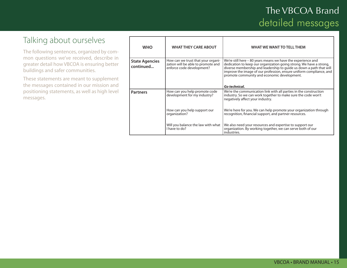## Talking about ourselves

The following sentences, organized by common questions we've received, describe in greater detail how VBCOA is ensuring better buildings and safer communities.

| <b>WHO</b>                         | <b>WHAT THEY CARE ABOUT</b>                                                                           | WHAT WE WANT TO TELL THEM                                                                                                                                                                                                                                                                                                                         |
|------------------------------------|-------------------------------------------------------------------------------------------------------|---------------------------------------------------------------------------------------------------------------------------------------------------------------------------------------------------------------------------------------------------------------------------------------------------------------------------------------------------|
| <b>State Agencies</b><br>continued | How can we trust that your organi-<br>zation will be able to promote and<br>enforce code development? | We're still here - 80 years means we have the experience and<br>dedication to keep our organization going strong. We have a strong,<br>diverse membership and leadership to guide us down a path that will<br>improve the image of our profession, ensure uniform compliance, and<br>promote community and economic development.<br>Go technical. |
|                                    |                                                                                                       |                                                                                                                                                                                                                                                                                                                                                   |
| <b>Partners</b>                    | How can you help promote code<br>development for my industry?                                         | We're the communication link with all parties in the construction<br>industry. So we can work together to make sure the code won't<br>negatively affect your industry.                                                                                                                                                                            |
|                                    | How can you help support our<br>organization?                                                         | We're here for you. We can help promote your organization through<br>recognition, financial support, and partner resources.                                                                                                                                                                                                                       |
|                                    | Will you balance the law with what<br>I have to do?                                                   | We also need your resources and expertise to support our<br>organization. By working together, we can serve both of our<br>industries.                                                                                                                                                                                                            |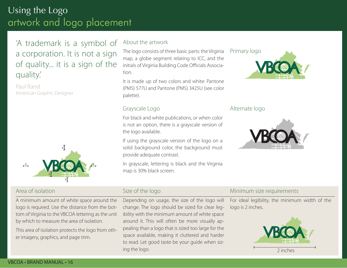# Using the Logo artwork and logo placement

## 'A trademark is a symbol of a corporation. It is not a sign of quality... it is a sign of the quality.'

Paul Rand American Graphic Designer



#### About the artwork

The logo consists of three basic parts: the Virginia map, a globe segment relating to ICC, and the initials of Virginia Building Code Officials Association.

It is made up of two colors and white: Pantone (PMS) 577U and Pantone (PMS) 3425U (see color palette).

#### Grayscale Logo

For black and white publications, or when color is not an option, there is a grayscale version of the logo available.

If using the grayscale version of the logo on a solid background color, the background must provide adequate contrast.

In grayscale, lettering is black and the Virginia map is 30% black screen.

# Primary logo

#### Alternate logo



#### Area of isolation

A minimum amount of white space around the logo is required. Use the distance from the bottom of Virginia to the VBCOA lettering as the unit by which to measure the area of isolation.

This area of isolation protects the logo from other imagery, graphics, and page trim.

#### Size of the logo

Depending on usage, the size of the logo will change. The logo should be sized for clear legibility with the minimum amount of white space around it. This will often be more visually appealing than a logo that is sized too large for the space available, making it cluttered and harder to read. Let good taste be your guide when sizing the logo.

#### Minimum size requirements

For ideal legibility, the minimum width of the logo is 2 inches.

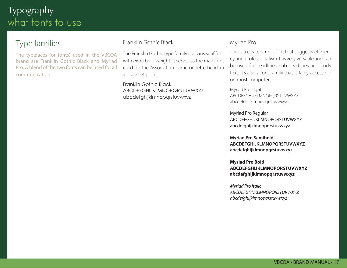# Typography what fonts to use

## Type families

The typefaces (or fonts) used in the VBCOA brand are Franklin Gothic Black and Myriad Pro. A blend of the two fonts can be used for all communications.

#### Franklin Gothic Black

The Franklin Gothic type family is a sans serif font with extra bold weight. It serves as the main font used for the Association name on letterhead, in all caps 14 point.

Franklin Gothic Black ABCDEFGHIJKLMNOPQRSTUVWXYZ abcdefghijklmnopqrstuvwxyz

#### Myriad Pro

This is a clean, simple font that suggests efficiency and professionalism. It is very versatile and can be used for headlines, sub-headlines and body text. It's also a font family that is fairly accessible on most computers.

Myriad Pro Light ABCDEFGHIJKLMNOPQRSTUVWXYZ abcdefghijklmnopqrstuvwxyz

Myriad Pro Regular ABCDEFGHIJKLMNOPQRSTUVWXYZ abcdefghijklmnopqrstuvwxyz

**Myriad Pro Semibold ABCDEFGHIJKLMNOPQRSTUVWXYZ abcdefghijklmnopqrstuvwxyz**

**Myriad Pro Bold ABCDEFGHIJKLMNOPQRSTUVWXYZ abcdefghijklmnopqrstuvwxyz**

*Myriad Pro Italic ABCDEFGHIJKLMNOPQRSTUVWXYZ abcdefghijklmnopqrstuvwxyz*